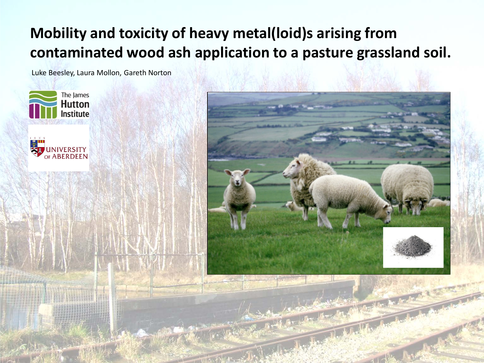# **Mobility and toxicity of heavy metal(loid)s arising from contaminated wood ash application to a pasture grassland soil.**

Luke Beesley, Laura Mollon, Gareth Norton





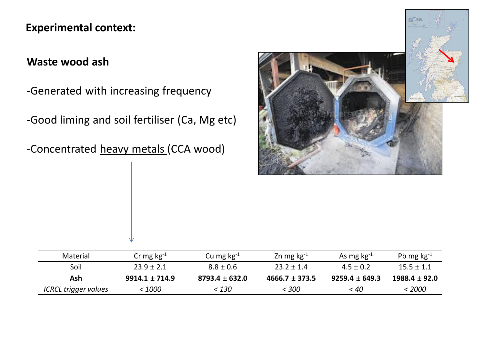## **Experimental context:**

## **Waste wood ash**

-Generated with increasing frequency

-Good liming and soil fertiliser (Ca, Mg etc)

-Concentrated heavy metals (CCA wood)



| Material             | Cr mg $kg^{-1}$  | Cu mg $kg^{-1}$    | Zn mg $kg-1$       | As mg $kg^{-1}$    | Pb mg $kg^{-1}$  |
|----------------------|------------------|--------------------|--------------------|--------------------|------------------|
| Soil                 | $23.9 \pm 2.1$   | $8.8 \pm 0.6$      | $23.2 \pm 1.4$     | $4.5 \pm 0.2$      | $15.5 \pm 1.1$   |
| Ash                  | $9914.1 + 714.9$ | $8793.4 \pm 632.0$ | $4666.7 \pm 373.5$ | $9259.4 \pm 649.3$ | $1988.4 + 92.0$  |
| ICRCL trigger values | <i>&lt; 1000</i> | < 130              | <i>- 300</i>       | < 40               | <i>&lt; 2000</i> |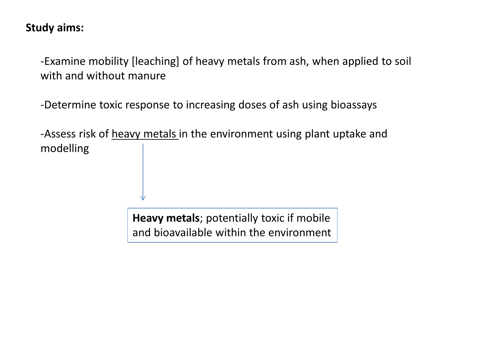#### **Study aims:**

-Examine mobility [leaching] of heavy metals from ash, when applied to soil with and without manure

-Determine toxic response to increasing doses of ash using bioassays

-Assess risk of heavy metals in the environment using plant uptake and modelling

> **Heavy metals**; potentially toxic if mobile and bioavailable within the environment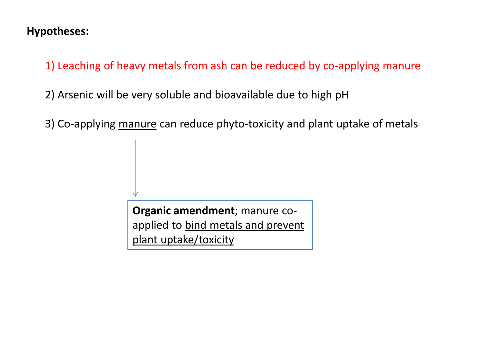#### **Hypotheses:**

1) Leaching of heavy metals from ash can be reduced by co-applying manure

2) Arsenic will be very soluble and bioavailable due to high pH

3) Co-applying manure can reduce phyto-toxicity and plant uptake of metals

**Organic amendment**; manure coapplied to bind metals and prevent plant uptake/toxicity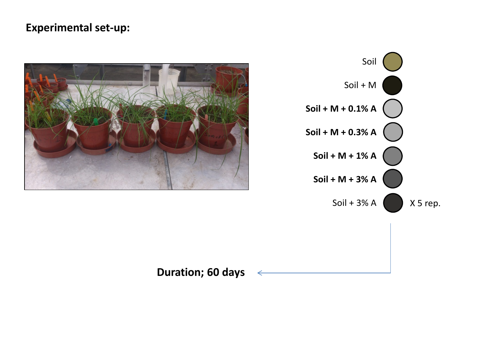### **Experimental set-up:**





**Duration; 60 days**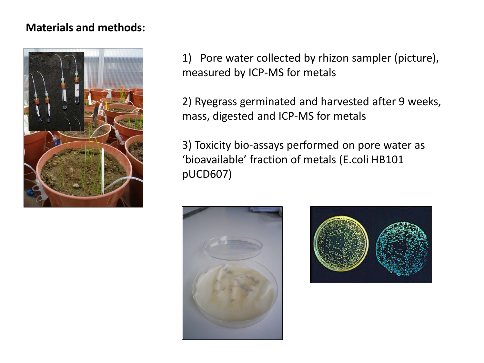#### **Materials and methods:**



1) Pore water collected by rhizon sampler (picture), measured by ICP-MS for metals

2) Ryegrass germinated and harvested after 9 weeks, mass, digested and ICP-MS for metals

3) Toxicity bio-assays performed on pore water as 'bioavailable' fraction of metals (E.coli HB101 pUCD607)



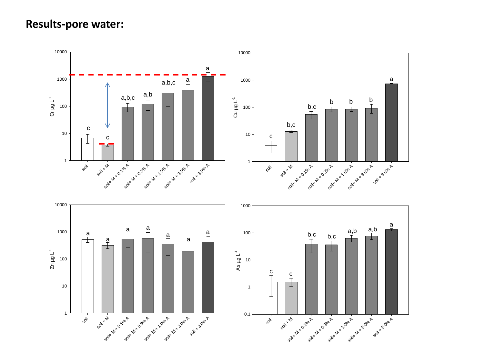#### **Results-pore water:**

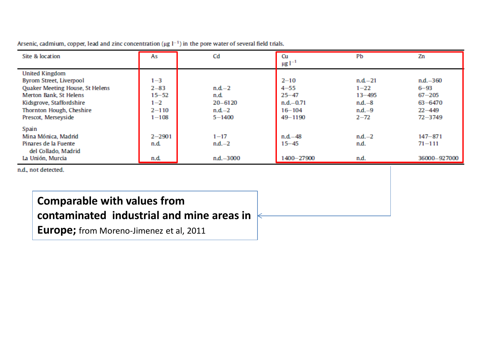| Site & location                 | As         | Cd           | Cu<br>$\mu$ g 1 <sup>-1</sup> | Pb         | Zn           |
|---------------------------------|------------|--------------|-------------------------------|------------|--------------|
| <b>United Kingdom</b>           |            |              |                               |            |              |
| Byrom Street, Liverpool         | $1 - 3$    |              | $2 - 10$                      | $n.d. -21$ | $n.d. -360$  |
| Quaker Meeting House, St Helens | $2 - 83$   | $n.d.-2$     | $4 - 55$                      | $1 - 22$   | $6 - 93$     |
| Merton Bank, St Helens          | $15 - 52$  | n.d.         | $25 - 47$                     | $13 - 495$ | $67 - 205$   |
| Kidsgrove, Staffordshire        | $1 - 2$    | $20 - 6120$  | $n.d. -0.71$                  | $n.d. -8$  | $63 - 6470$  |
| Thornton Hough, Cheshire        | $2 - 110$  | $n.d.-2$     | $16 - 104$                    | $n.d. -9$  | $22 - 449$   |
| Prescot, Merseyside             | $1 - 108$  | $5 - 1400$   | 49-1190                       | $2 - 72$   | $72 - 3749$  |
| Spain                           |            |              |                               |            |              |
| Mina Mónica, Madrid             | $2 - 2901$ | $1 - 17$     | $n.d. -48$                    | $nd.-2$    | $147 - 871$  |
| Pinares de la Fuente            | n.d.       | $n.d. -2$    | $15 - 45$                     | n.d.       | $71 - 111$   |
| del Collado, Madrid             |            |              |                               |            |              |
| La Unión, Murcia                | n.d.       | $n.d. -3000$ | 1400-27900                    | n.d.       | 36000-927000 |

Arsenic, cadmium, copper, lead and zinc concentration ( $\mu$ g  $l^{-1}$ ) in the pore water of several field trials.

n.d., not detected.

# **Comparable with values from**

## **contaminated industrial and mine areas in**

**Europe;** from Moreno-Jimenez et al, 2011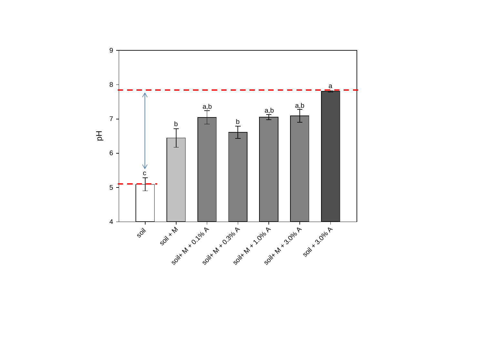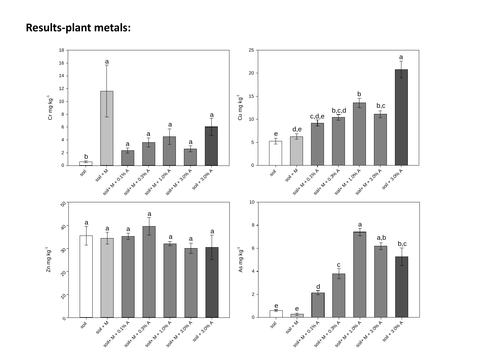#### **Results-plant metals:**

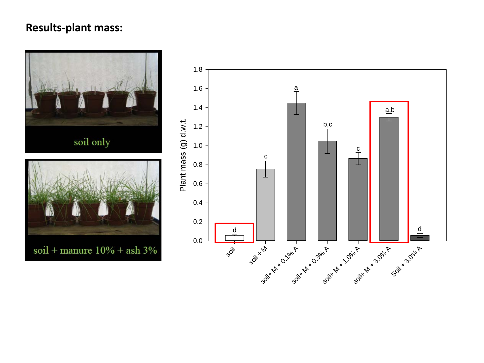## **Results-plant mass:**



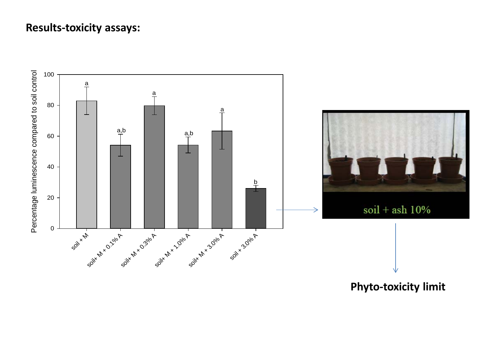#### **Results -toxicity assays:**



**Phyto -toxicity limit**